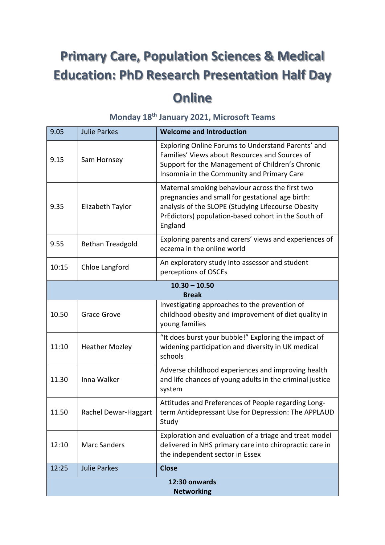# **Primary Care, Population Sciences & Medical Education: PhD Research Presentation Half Day Online**

| 9.05                               | <b>Julie Parkes</b>     | <b>Welcome and Introduction</b>                                                                                                                                                                                             |
|------------------------------------|-------------------------|-----------------------------------------------------------------------------------------------------------------------------------------------------------------------------------------------------------------------------|
| 9.15                               | Sam Hornsey             | Exploring Online Forums to Understand Parents' and<br>Families' Views about Resources and Sources of<br>Support for the Management of Children's Chronic<br>Insomnia in the Community and Primary Care                      |
| 9.35                               | Elizabeth Taylor        | Maternal smoking behaviour across the first two<br>pregnancies and small for gestational age birth:<br>analysis of the SLOPE (Studying Lifecourse Obesity<br>PrEdictors) population-based cohort in the South of<br>England |
| 9.55                               | <b>Bethan Treadgold</b> | Exploring parents and carers' views and experiences of<br>eczema in the online world                                                                                                                                        |
| 10:15                              | Chloe Langford          | An exploratory study into assessor and student<br>perceptions of OSCEs                                                                                                                                                      |
| $10.30 - 10.50$<br><b>Break</b>    |                         |                                                                                                                                                                                                                             |
| 10.50                              | <b>Grace Grove</b>      | Investigating approaches to the prevention of<br>childhood obesity and improvement of diet quality in<br>young families                                                                                                     |
| 11:10                              | <b>Heather Mozley</b>   | "It does burst your bubble!" Exploring the impact of<br>widening participation and diversity in UK medical<br>schools                                                                                                       |
| 11.30                              | Inna Walker             | Adverse childhood experiences and improving health<br>and life chances of young adults in the criminal justice<br>system                                                                                                    |
| 11.50                              | Rachel Dewar-Haggart    | Attitudes and Preferences of People regarding Long-<br>term Antidepressant Use for Depression: The APPLAUD<br>Study                                                                                                         |
| 12:10                              | <b>Marc Sanders</b>     | Exploration and evaluation of a triage and treat model<br>delivered in NHS primary care into chiropractic care in<br>the independent sector in Essex                                                                        |
| 12:25                              | <b>Julie Parkes</b>     | <b>Close</b>                                                                                                                                                                                                                |
| 12:30 onwards<br><b>Networking</b> |                         |                                                                                                                                                                                                                             |

# **Monday 18th January 2021, Microsoft Teams**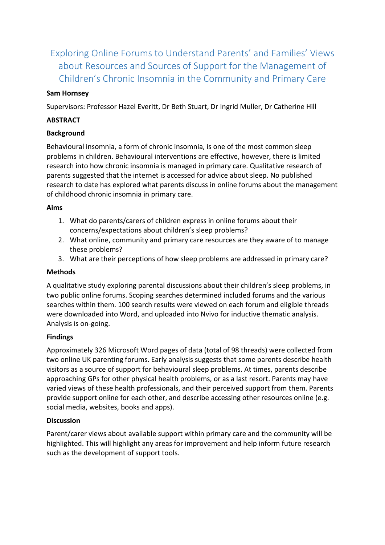Exploring Online Forums to Understand Parents' and Families' Views about Resources and Sources of Support for the Management of Children's Chronic Insomnia in the Community and Primary Care

## **Sam Hornsey**

Supervisors: Professor Hazel Everitt, Dr Beth Stuart, Dr Ingrid Muller, Dr Catherine Hill

#### **ABSTRACT**

#### **Background**

Behavioural insomnia, a form of chronic insomnia, is one of the most common sleep problems in children. Behavioural interventions are effective, however, there is limited research into how chronic insomnia is managed in primary care. Qualitative research of parents suggested that the internet is accessed for advice about sleep. No published research to date has explored what parents discuss in online forums about the management of childhood chronic insomnia in primary care.

#### **Aims**

- 1. What do parents/carers of children express in online forums about their concerns/expectations about children's sleep problems?
- 2. What online, community and primary care resources are they aware of to manage these problems?
- 3. What are their perceptions of how sleep problems are addressed in primary care?

#### **Methods**

A qualitative study exploring parental discussions about their children's sleep problems, in two public online forums. Scoping searches determined included forums and the various searches within them. 100 search results were viewed on each forum and eligible threads were downloaded into Word, and uploaded into Nvivo for inductive thematic analysis. Analysis is on-going.

# **Findings**

Approximately 326 Microsoft Word pages of data (total of 98 threads) were collected from two online UK parenting forums. Early analysis suggests that some parents describe health visitors as a source of support for behavioural sleep problems. At times, parents describe approaching GPs for other physical health problems, or as a last resort. Parents may have varied views of these health professionals, and their perceived support from them. Parents provide support online for each other, and describe accessing other resources online (e.g. social media, websites, books and apps).

#### **Discussion**

Parent/carer views about available support within primary care and the community will be highlighted. This will highlight any areas for improvement and help inform future research such as the development of support tools.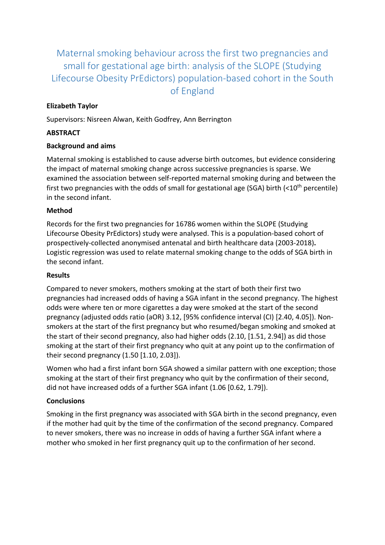Maternal smoking behaviour across the first two pregnancies and small for gestational age birth: analysis of the SLOPE (Studying Lifecourse Obesity PrEdictors) population-based cohort in the South of England

# **Elizabeth Taylor**

Supervisors: Nisreen Alwan, Keith Godfrey, Ann Berrington

# **ABSTRACT**

# **Background and aims**

Maternal smoking is established to cause adverse birth outcomes, but evidence considering the impact of maternal smoking change across successive pregnancies is sparse. We examined the association between self-reported maternal smoking during and between the first two pregnancies with the odds of small for gestational age (SGA) birth  $\left($ <10<sup>th</sup> percentile) in the second infant.

#### **Method**

Records for the first two pregnancies for 16786 women within the SLOPE (Studying Lifecourse Obesity PrEdictors) study were analysed. This is a population-based cohort of prospectively-collected anonymised antenatal and birth healthcare data (2003-2018)**.** Logistic regression was used to relate maternal smoking change to the odds of SGA birth in the second infant.

## **Results**

Compared to never smokers, mothers smoking at the start of both their first two pregnancies had increased odds of having a SGA infant in the second pregnancy. The highest odds were where ten or more cigarettes a day were smoked at the start of the second pregnancy (adjusted odds ratio (aOR) 3.12, [95% confidence interval (CI) [2.40, 4.05]). Nonsmokers at the start of the first pregnancy but who resumed/began smoking and smoked at the start of their second pregnancy, also had higher odds (2.10, [1.51, 2.94]) as did those smoking at the start of their first pregnancy who quit at any point up to the confirmation of their second pregnancy (1.50 [1.10, 2.03]).

Women who had a first infant born SGA showed a similar pattern with one exception; those smoking at the start of their first pregnancy who quit by the confirmation of their second, did not have increased odds of a further SGA infant (1.06 [0.62, 1.79]).

# **Conclusions**

Smoking in the first pregnancy was associated with SGA birth in the second pregnancy, even if the mother had quit by the time of the confirmation of the second pregnancy. Compared to never smokers, there was no increase in odds of having a further SGA infant where a mother who smoked in her first pregnancy quit up to the confirmation of her second.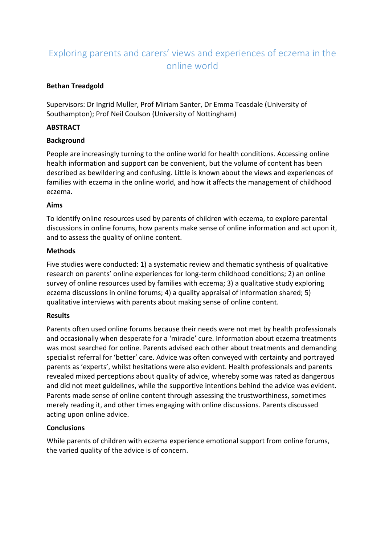# Exploring parents and carers' views and experiences of eczema in the online world

## **Bethan Treadgold**

Supervisors: Dr Ingrid Muller, Prof Miriam Santer, Dr Emma Teasdale (University of Southampton); Prof Neil Coulson (University of Nottingham)

#### **ABSTRACT**

#### **Background**

People are increasingly turning to the online world for health conditions. Accessing online health information and support can be convenient, but the volume of content has been described as bewildering and confusing. Little is known about the views and experiences of families with eczema in the online world, and how it affects the management of childhood eczema.

#### **Aims**

To identify online resources used by parents of children with eczema, to explore parental discussions in online forums, how parents make sense of online information and act upon it, and to assess the quality of online content.

#### **Methods**

Five studies were conducted: 1) a systematic review and thematic synthesis of qualitative research on parents' online experiences for long-term childhood conditions; 2) an online survey of online resources used by families with eczema; 3) a qualitative study exploring eczema discussions in online forums; 4) a quality appraisal of information shared; 5) qualitative interviews with parents about making sense of online content.

# **Results**

Parents often used online forums because their needs were not met by health professionals and occasionally when desperate for a 'miracle' cure. Information about eczema treatments was most searched for online. Parents advised each other about treatments and demanding specialist referral for 'better' care. Advice was often conveyed with certainty and portrayed parents as 'experts', whilst hesitations were also evident. Health professionals and parents revealed mixed perceptions about quality of advice, whereby some was rated as dangerous and did not meet guidelines, while the supportive intentions behind the advice was evident. Parents made sense of online content through assessing the trustworthiness, sometimes merely reading it, and other times engaging with online discussions. Parents discussed acting upon online advice.

# **Conclusions**

While parents of children with eczema experience emotional support from online forums, the varied quality of the advice is of concern.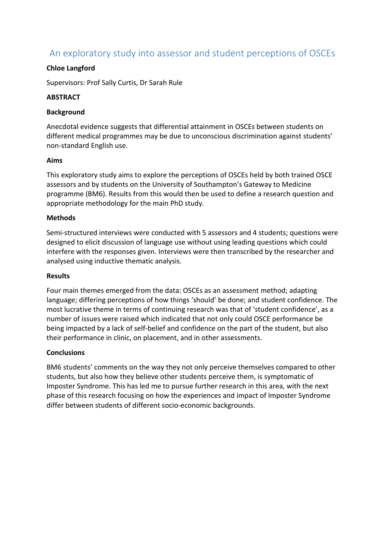# An exploratory study into assessor and student perceptions of OSCEs

## **Chloe Langford**

Supervisors: Prof Sally Curtis, Dr Sarah Rule

#### **ABSTRACT**

#### **Background**

Anecdotal evidence suggests that differential attainment in OSCEs between students on different medical programmes may be due to unconscious discrimination against students' non-standard English use.

#### **Aims**

This exploratory study aims to explore the perceptions of OSCEs held by both trained OSCE assessors and by students on the University of Southampton's Gateway to Medicine programme (BM6). Results from this would then be used to define a research question and appropriate methodology for the main PhD study.

#### **Methods**

Semi-structured interviews were conducted with 5 assessors and 4 students; questions were designed to elicit discussion of language use without using leading questions which could interfere with the responses given. Interviews were then transcribed by the researcher and analysed using inductive thematic analysis.

#### **Results**

Four main themes emerged from the data: OSCEs as an assessment method; adapting language; differing perceptions of how things 'should' be done; and student confidence. The most lucrative theme in terms of continuing research was that of 'student confidence', as a number of issues were raised which indicated that not only could OSCE performance be being impacted by a lack of self-belief and confidence on the part of the student, but also their performance in clinic, on placement, and in other assessments.

#### **Conclusions**

BM6 students' comments on the way they not only perceive themselves compared to other students, but also how they believe other students perceive them, is symptomatic of Imposter Syndrome. This has led me to pursue further research in this area, with the next phase of this research focusing on how the experiences and impact of Imposter Syndrome differ between students of different socio-economic backgrounds.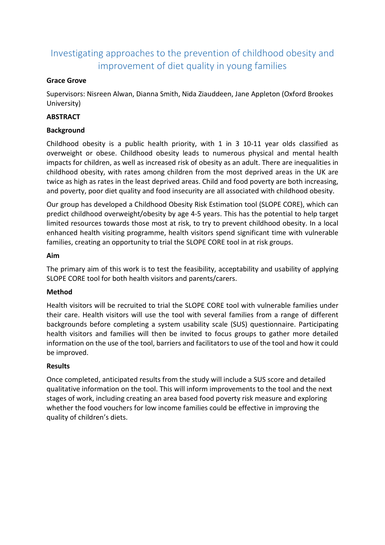# Investigating approaches to the prevention of childhood obesity and improvement of diet quality in young families

#### **Grace Grove**

Supervisors: Nisreen Alwan, Dianna Smith, Nida Ziauddeen, Jane Appleton (Oxford Brookes University)

## **ABSTRACT**

## **Background**

Childhood obesity is a public health priority, with 1 in 3 10-11 year olds classified as overweight or obese. Childhood obesity leads to numerous physical and mental health impacts for children, as well as increased risk of obesity as an adult. There are inequalities in childhood obesity, with rates among children from the most deprived areas in the UK are twice as high as rates in the least deprived areas. Child and food poverty are both increasing, and poverty, poor diet quality and food insecurity are all associated with childhood obesity.

Our group has developed a Childhood Obesity Risk Estimation tool (SLOPE CORE), which can predict childhood overweight/obesity by age 4-5 years. This has the potential to help target limited resources towards those most at risk, to try to prevent childhood obesity. In a local enhanced health visiting programme, health visitors spend significant time with vulnerable families, creating an opportunity to trial the SLOPE CORE tool in at risk groups.

#### **Aim**

The primary aim of this work is to test the feasibility, acceptability and usability of applying SLOPE CORE tool for both health visitors and parents/carers.

#### **Method**

Health visitors will be recruited to trial the SLOPE CORE tool with vulnerable families under their care. Health visitors will use the tool with several families from a range of different backgrounds before completing a system usability scale (SUS) questionnaire. Participating health visitors and families will then be invited to focus groups to gather more detailed information on the use of the tool, barriers and facilitators to use of the tool and how it could be improved.

# **Results**

Once completed, anticipated results from the study will include a SUS score and detailed qualitative information on the tool. This will inform improvements to the tool and the next stages of work, including creating an area based food poverty risk measure and exploring whether the food vouchers for low income families could be effective in improving the quality of children's diets.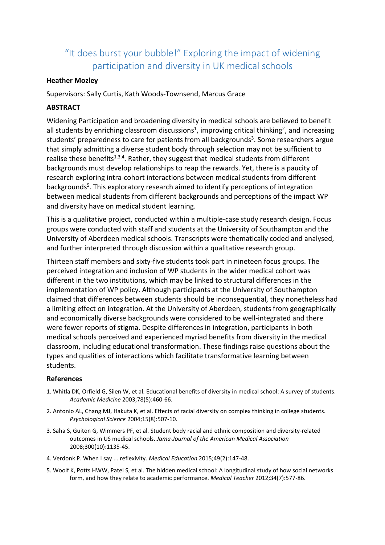# "It does burst your bubble!" Exploring the impact of widening participation and diversity in UK medical schools

#### **Heather Mozley**

Supervisors: Sally Curtis, Kath Woods-Townsend, Marcus Grace

#### **ABSTRACT**

Widening Participation and broadening diversity in medical schools are believed to benefit all students by enriching classroom discussions<sup>1</sup>, improving critical thinking<sup>2</sup>, and increasing students' preparedness to care for patients from all backgrounds<sup>3</sup>. Some researchers argue that simply admitting a diverse student body through selection may not be sufficient to realise these benefits<sup>1,3,4</sup>. Rather, they suggest that medical students from different backgrounds must develop relationships to reap the rewards. Yet, there is a paucity of research exploring intra-cohort interactions between medical students from different backgrounds<sup>5</sup>. This exploratory research aimed to identify perceptions of integration between medical students from different backgrounds and perceptions of the impact WP and diversity have on medical student learning.

This is a qualitative project, conducted within a multiple-case study research design. Focus groups were conducted with staff and students at the University of Southampton and the University of Aberdeen medical schools. Transcripts were thematically coded and analysed, and further interpreted through discussion within a qualitative research group.

Thirteen staff members and sixty-five students took part in nineteen focus groups. The perceived integration and inclusion of WP students in the wider medical cohort was different in the two institutions, which may be linked to structural differences in the implementation of WP policy. Although participants at the University of Southampton claimed that differences between students should be inconsequential, they nonetheless had a limiting effect on integration. At the University of Aberdeen, students from geographically and economically diverse backgrounds were considered to be well-integrated and there were fewer reports of stigma. Despite differences in integration, participants in both medical schools perceived and experienced myriad benefits from diversity in the medical classroom, including educational transformation. These findings raise questions about the types and qualities of interactions which facilitate transformative learning between students.

#### **References**

- 1. Whitla DK, Orfield G, Silen W, et al. Educational benefits of diversity in medical school: A survey of students. *Academic Medicine* 2003;78(5):460-66.
- 2. Antonio AL, Chang MJ, Hakuta K, et al. Effects of racial diversity on complex thinking in college students. *Psychological Science* 2004;15(8):507-10.
- 3. Saha S, Guiton G, Wimmers PF, et al. Student body racial and ethnic composition and diversity-related outcomes in US medical schools. *Jama-Journal of the American Medical Association* 2008;300(10):1135-45.
- 4. Verdonk P. When I say ... reflexivity. *Medical Education* 2015;49(2):147-48.
- 5. Woolf K, Potts HWW, Patel S, et al. The hidden medical school: A longitudinal study of how social networks form, and how they relate to academic performance. *Medical Teacher* 2012;34(7):577-86.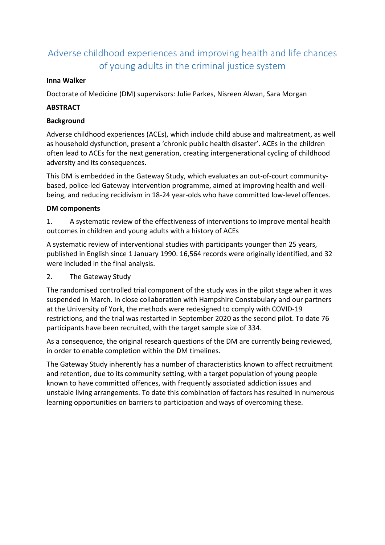# Adverse childhood experiences and improving health and life chances of young adults in the criminal justice system

## **Inna Walker**

Doctorate of Medicine (DM) supervisors: Julie Parkes, Nisreen Alwan, Sara Morgan

## **ABSTRACT**

#### **Background**

Adverse childhood experiences (ACEs), which include child abuse and maltreatment, as well as household dysfunction, present a 'chronic public health disaster'. ACEs in the children often lead to ACEs for the next generation, creating intergenerational cycling of childhood adversity and its consequences.

This DM is embedded in the Gateway Study, which evaluates an out-of-court communitybased, police-led Gateway intervention programme, aimed at improving health and wellbeing, and reducing recidivism in 18-24 year-olds who have committed low-level offences.

#### **DM components**

1. A systematic review of the effectiveness of interventions to improve mental health outcomes in children and young adults with a history of ACEs

A systematic review of interventional studies with participants younger than 25 years, published in English since 1 January 1990. 16,564 records were originally identified, and 32 were included in the final analysis.

# 2. The Gateway Study

The randomised controlled trial component of the study was in the pilot stage when it was suspended in March. In close collaboration with Hampshire Constabulary and our partners at the University of York, the methods were redesigned to comply with COVID-19 restrictions, and the trial was restarted in September 2020 as the second pilot. To date 76 participants have been recruited, with the target sample size of 334.

As a consequence, the original research questions of the DM are currently being reviewed, in order to enable completion within the DM timelines.

The Gateway Study inherently has a number of characteristics known to affect recruitment and retention, due to its community setting, with a target population of young people known to have committed offences, with frequently associated addiction issues and unstable living arrangements. To date this combination of factors has resulted in numerous learning opportunities on barriers to participation and ways of overcoming these.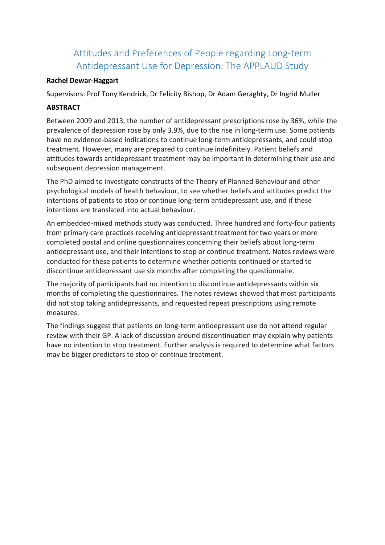# Attitudes and Preferences of People regarding Long-term Antidepressant Use for Depression: The APPLAUD Study

#### **Rachel Dewar-Haggart**

Supervisors: Prof Tony Kendrick, Dr Felicity Bishop, Dr Adam Geraghty, Dr Ingrid Muller

## **ABSTRACT**

Between 2009 and 2013, the number of antidepressant prescriptions rose by 36%, while the prevalence of depression rose by only 3.9%, due to the rise in long-term use. Some patients have no evidence-based indications to continue long-term antidepressants, and could stop treatment. However, many are prepared to continue indefinitely. Patient beliefs and attitudes towards antidepressant treatment may be important in determining their use and subsequent depression management.

The PhD aimed to investigate constructs of the Theory of Planned Behaviour and other psychological models of health behaviour, to see whether beliefs and attitudes predict the intentions of patients to stop or continue long-term antidepressant use, and if these intentions are translated into actual behaviour.

An embedded-mixed methods study was conducted. Three hundred and forty-four patients from primary care practices receiving antidepressant treatment for two years or more completed postal and online questionnaires concerning their beliefs about long-term antidepressant use, and their intentions to stop or continue treatment. Notes reviews were conducted for these patients to determine whether patients continued or started to discontinue antidepressant use six months after completing the questionnaire.

The majority of participants had no intention to discontinue antidepressants within six months of completing the questionnaires. The notes reviews showed that most participants did not stop taking antidepressants, and requested repeat prescriptions using remote measures.

The findings suggest that patients on long-term antidepressant use do not attend regular review with their GP. A lack of discussion around discontinuation may explain why patients have no intention to stop treatment. Further analysis is required to determine what factors may be bigger predictors to stop or continue treatment.